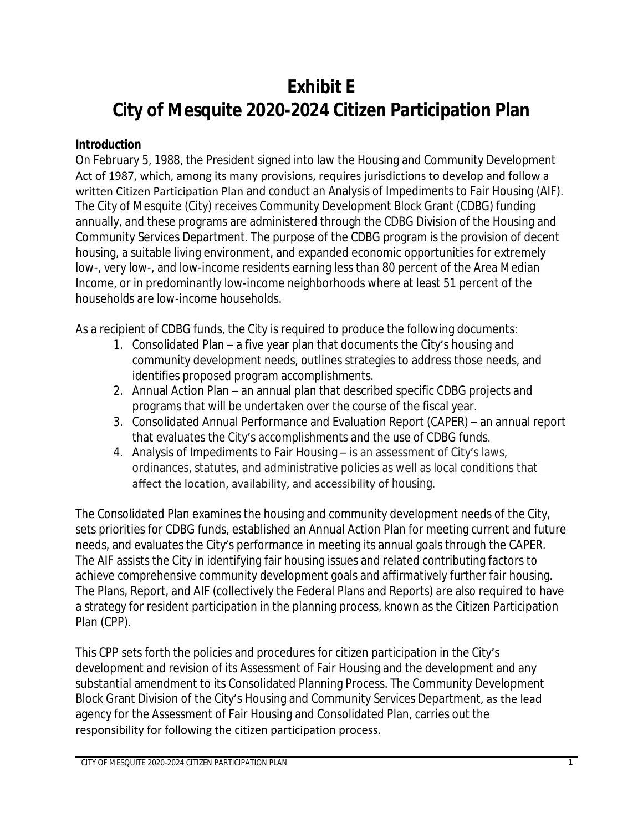# **Exhibit E City of Mesquite 2020-2024 Citizen Participation Plan**

#### **Introduction**

On February 5, 1988, the President signed into law the Housing and Community Development Act of 1987, which, among its many provisions, requires jurisdictions to develop and follow a written Citizen Participation Plan and conduct an Analysis of Impediments to Fair Housing (AIF). The City of Mesquite (City) receives Community Development Block Grant (CDBG) funding annually, and these programs are administered through the CDBG Division of the Housing and Community Services Department. The purpose of the CDBG program is the provision of decent housing, a suitable living environment, and expanded economic opportunities for extremely low-, very low-, and low-income residents earning less than 80 percent of the Area Median Income, or in predominantly low-income neighborhoods where at least 51 percent of the households are low-income households.

As a recipient of CDBG funds, the City is required to produce the following documents:

- 1. Consolidated Plan a five year plan that documents the City's housing and community development needs, outlines strategies to address those needs, and identifies proposed program accomplishments.
- 2. Annual Action Plan an annual plan that described specific CDBG projects and programs that will be undertaken over the course of the fiscal year.
- 3. Consolidated Annual Performance and Evaluation Report (CAPER) an annual report that evaluates the City's accomplishments and the use of CDBG funds.
- 4. Analysis of Impediments to Fair Housing is an assessment of City's laws, ordinances, statutes, and administrative policies as well as local conditions that affect the location, availability, and accessibility of housing.

The Consolidated Plan examines the housing and community development needs of the City, sets priorities for CDBG funds, established an Annual Action Plan for meeting current and future needs, and evaluates the City's performance in meeting its annual goals through the CAPER. The AIF assists the City in identifying fair housing issues and related contributing factors to achieve comprehensive community development goals and affirmatively further fair housing. The Plans, Report, and AIF (collectively the Federal Plans and Reports) are also required to have a strategy for resident participation in the planning process, known as the Citizen Participation Plan (CPP).

This CPP sets forth the policies and procedures for citizen participation in the City's development and revision of its Assessment of Fair Housing and the development and any substantial amendment to its Consolidated Planning Process. The Community Development Block Grant Division of the City's Housing and Community Services Department, as the lead agency for the Assessment of Fair Housing and Consolidated Plan, carries out the responsibility for following the citizen participation process.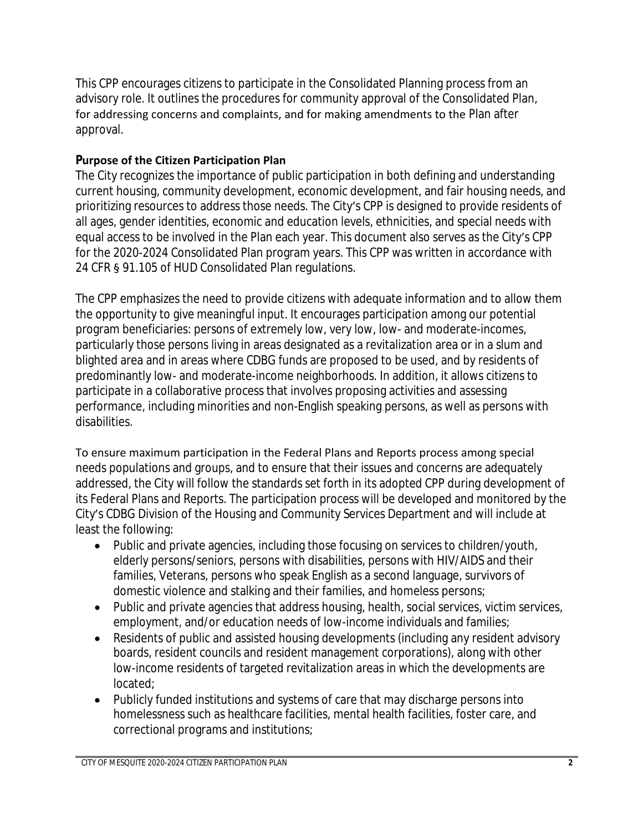This CPP encourages citizens to participate in the Consolidated Planning process from an advisory role. It outlines the procedures for community approval of the Consolidated Plan, for addressing concerns and complaints, and for making amendments to the Plan after approval.

#### **Purpose of the Citizen Participation Plan**

The City recognizes the importance of public participation in both defining and understanding current housing, community development, economic development, and fair housing needs, and prioritizing resources to address those needs. The City's CPP is designed to provide residents of all ages, gender identities, economic and education levels, ethnicities, and special needs with equal access to be involved in the Plan each year. This document also serves as the City's CPP for the 2020-2024 Consolidated Plan program years. This CPP was written in accordance with 24 CFR § 91.105 of HUD Consolidated Plan regulations.

The CPP emphasizes the need to provide citizens with adequate information and to allow them the opportunity to give meaningful input. It encourages participation among our potential program beneficiaries: persons of extremely low, very low, low- and moderate-incomes, particularly those persons living in areas designated as a revitalization area or in a slum and blighted area and in areas where CDBG funds are proposed to be used, and by residents of predominantly low- and moderate-income neighborhoods. In addition, it allows citizens to participate in a collaborative process that involves proposing activities and assessing performance, including minorities and non-English speaking persons, as well as persons with disabilities.

To ensure maximum participation in the Federal Plans and Reports process among special needs populations and groups, and to ensure that their issues and concerns are adequately addressed, the City will follow the standards set forth in its adopted CPP during development of its Federal Plans and Reports. The participation process will be developed and monitored by the City's CDBG Division of the Housing and Community Services Department and will include at least the following:

- Public and private agencies, including those focusing on services to children/youth, elderly persons/seniors, persons with disabilities, persons with HIV/AIDS and their families, Veterans, persons who speak English as a second language, survivors of domestic violence and stalking and their families, and homeless persons;
- Public and private agencies that address housing, health, social services, victim services, employment, and/or education needs of low-income individuals and families;
- Residents of public and assisted housing developments (including any resident advisory boards, resident councils and resident management corporations), along with other low-income residents of targeted revitalization areas in which the developments are located;
- Publicly funded institutions and systems of care that may discharge persons into homelessness such as healthcare facilities, mental health facilities, foster care, and correctional programs and institutions;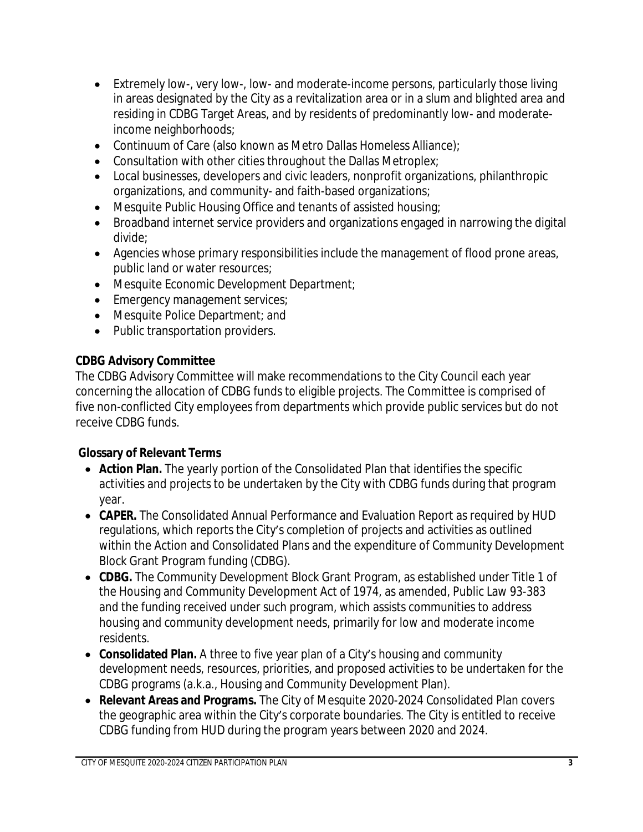- Extremely low-, very low-, low- and moderate-income persons, particularly those living in areas designated by the City as a revitalization area or in a slum and blighted area and residing in CDBG Target Areas, and by residents of predominantly low- and moderateincome neighborhoods;
- Continuum of Care (also known as Metro Dallas Homeless Alliance);
- Consultation with other cities throughout the Dallas Metroplex;
- Local businesses, developers and civic leaders, nonprofit organizations, philanthropic organizations, and community- and faith-based organizations;
- Mesquite Public Housing Office and tenants of assisted housing;
- Broadband internet service providers and organizations engaged in narrowing the digital divide;
- Agencies whose primary responsibilities include the management of flood prone areas, public land or water resources;
- Mesquite Economic Development Department;
- **Emergency management services;**
- Mesquite Police Department; and
- Public transportation providers.

# **CDBG Advisory Committee**

The CDBG Advisory Committee will make recommendations to the City Council each year concerning the allocation of CDBG funds to eligible projects. The Committee is comprised of five non-conflicted City employees from departments which provide public services but do not receive CDBG funds.

# **Glossary of Relevant Terms**

- **Action Plan.** The yearly portion of the Consolidated Plan that identifies the specific activities and projects to be undertaken by the City with CDBG funds during that program year.
- **CAPER.** The Consolidated Annual Performance and Evaluation Report as required by HUD regulations, which reports the City's completion of projects and activities as outlined within the Action and Consolidated Plans and the expenditure of Community Development Block Grant Program funding (CDBG).
- **CDBG.** The Community Development Block Grant Program, as established under Title 1 of the Housing and Community Development Act of 1974, as amended, Public Law 93-383 and the funding received under such program, which assists communities to address housing and community development needs, primarily for low and moderate income residents.
- **Consolidated Plan.** A three to five year plan of a City's housing and community development needs, resources, priorities, and proposed activities to be undertaken for the CDBG programs (a.k.a., Housing and Community Development Plan).
- **Relevant Areas and Programs.** The City of Mesquite 2020-2024 Consolidated Plan covers the geographic area within the City's corporate boundaries. The City is entitled to receive CDBG funding from HUD during the program years between 2020 and 2024.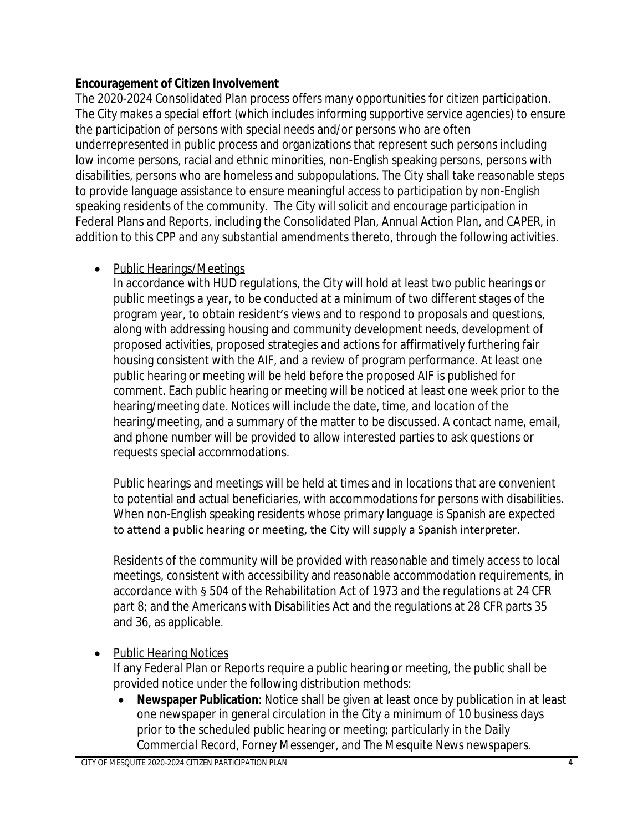## **Encouragement of Citizen Involvement**

The 2020-2024 Consolidated Plan process offers many opportunities for citizen participation. The City makes a special effort (which includes informing supportive service agencies) to ensure the participation of persons with special needs and/or persons who are often underrepresented in public process and organizations that represent such persons including low income persons, racial and ethnic minorities, non-English speaking persons, persons with disabilities, persons who are homeless and subpopulations. The City shall take reasonable steps to provide language assistance to ensure meaningful access to participation by non-English speaking residents of the community. The City will solicit and encourage participation in Federal Plans and Reports, including the Consolidated Plan, Annual Action Plan, and CAPER, in addition to this CPP and any substantial amendments thereto, through the following activities.

## • Public Hearings/Meetings

In accordance with HUD regulations, the City will hold at least two public hearings or public meetings a year, to be conducted at a minimum of two different stages of the program year, to obtain resident's views and to respond to proposals and questions, along with addressing housing and community development needs, development of proposed activities, proposed strategies and actions for affirmatively furthering fair housing consistent with the AIF, and a review of program performance. At least one public hearing or meeting will be held before the proposed AIF is published for comment. Each public hearing or meeting will be noticed at least one week prior to the hearing/meeting date. Notices will include the date, time, and location of the hearing/meeting, and a summary of the matter to be discussed. A contact name, email, and phone number will be provided to allow interested parties to ask questions or requests special accommodations.

Public hearings and meetings will be held at times and in locations that are convenient to potential and actual beneficiaries, with accommodations for persons with disabilities. When non-English speaking residents whose primary language is Spanish are expected to attend a public hearing or meeting, the City will supply a Spanish interpreter.

Residents of the community will be provided with reasonable and timely access to local meetings, consistent with accessibility and reasonable accommodation requirements, in accordance with § 504 of the Rehabilitation Act of 1973 and the regulations at 24 CFR part 8; and the Americans with Disabilities Act and the regulations at 28 CFR parts 35 and 36, as applicable.

• Public Hearing Notices

If any Federal Plan or Reports require a public hearing or meeting, the public shall be provided notice under the following distribution methods:

 **Newspaper Publication**: Notice shall be given at least once by publication in at least one newspaper in general circulation in the City a minimum of 10 business days prior to the scheduled public hearing or meeting; particularly in the *Daily Commercial Record*, *Forney Messenger*, and *The Mesquite News* newspapers.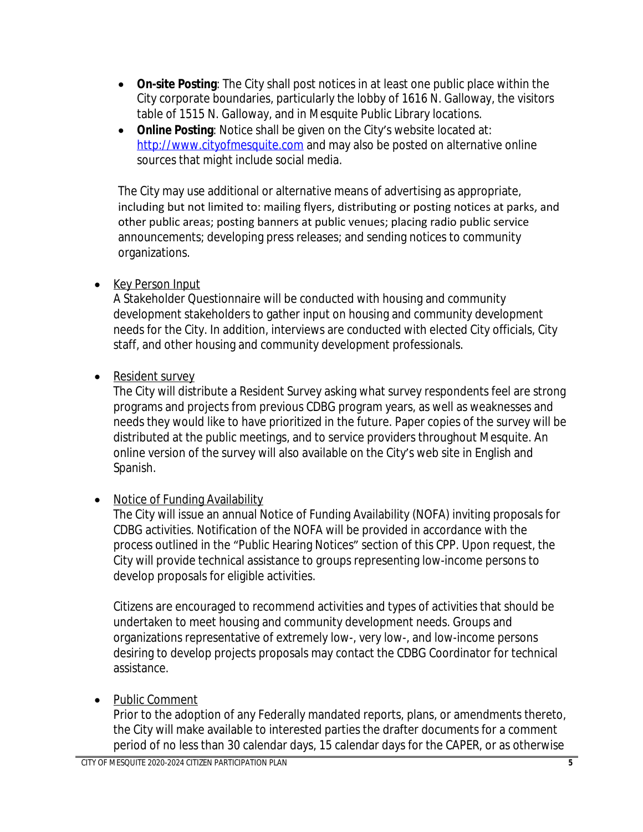- **On-site Posting**: The City shall post notices in at least one public place within the City corporate boundaries, particularly the lobby of 1616 N. Galloway, the visitors table of 1515 N. Galloway, and in Mesquite Public Library locations.
- **Online Posting:** Notice shall be given on the City's website located at: <http://www.cityofmesquite.com> and may also be posted on alternative online sources that might include social media.

The City may use additional or alternative means of advertising as appropriate, including but not limited to: mailing flyers, distributing or posting notices at parks, and other public areas; posting banners at public venues; placing radio public service announcements; developing press releases; and sending notices to community organizations.

• Key Person Input

A Stakeholder Questionnaire will be conducted with housing and community development stakeholders to gather input on housing and community development needs for the City. In addition, interviews are conducted with elected City officials, City staff, and other housing and community development professionals.

• Resident survey

The City will distribute a Resident Survey asking what survey respondents feel are strong programs and projects from previous CDBG program years, as well as weaknesses and needs they would like to have prioritized in the future. Paper copies of the survey will be distributed at the public meetings, and to service providers throughout Mesquite. An online version of the survey will also available on the City's web site in English and Spanish.

• Notice of Funding Availability

The City will issue an annual Notice of Funding Availability (NOFA) inviting proposals for CDBG activities. Notification of the NOFA will be provided in accordance with the process outlined in the "Public Hearing Notices" section of this CPP. Upon request, the City will provide technical assistance to groups representing low-income persons to develop proposals for eligible activities.

Citizens are encouraged to recommend activities and types of activities that should be undertaken to meet housing and community development needs. Groups and organizations representative of extremely low-, very low-, and low-income persons desiring to develop projects proposals may contact the CDBG Coordinator for technical assistance.

• Public Comment

Prior to the adoption of any Federally mandated reports, plans, or amendments thereto, the City will make available to interested parties the drafter documents for a comment period of no less than 30 calendar days, 15 calendar days for the CAPER, or as otherwise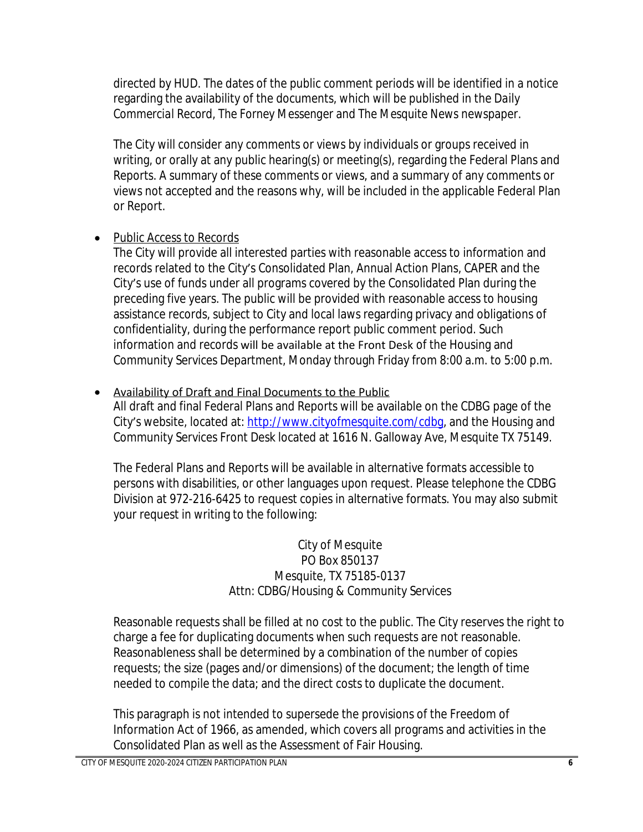directed by HUD. The dates of the public comment periods will be identified in a notice regarding the availability of the documents, which will be published in the *Daily Commercial Record*, *The Forney Messenger* and *The Mesquite News* newspaper.

The City will consider any comments or views by individuals or groups received in writing, or orally at any public hearing(s) or meeting(s), regarding the Federal Plans and Reports. A summary of these comments or views, and a summary of any comments or views not accepted and the reasons why, will be included in the applicable Federal Plan or Report.

# • Public Access to Records

The City will provide all interested parties with reasonable access to information and records related to the City's Consolidated Plan, Annual Action Plans, CAPER and the City's use of funds under all programs covered by the Consolidated Plan during the preceding five years. The public will be provided with reasonable access to housing assistance records, subject to City and local laws regarding privacy and obligations of confidentiality, during the performance report public comment period. Such information and records will be available at the Front Desk of the Housing and Community Services Department, Monday through Friday from 8:00 a.m. to 5:00 p.m.

# • Availability of Draft and Final Documents to the Public

All draft and final Federal Plans and Reports will be available on the CDBG page of the City's website, located at: <http://www.cityofmesquite.com/cdbg>, and the Housing and Community Services Front Desk located at 1616 N. Galloway Ave, Mesquite TX 75149.

The Federal Plans and Reports will be available in alternative formats accessible to persons with disabilities, or other languages upon request. Please telephone the CDBG Division at 972-216-6425 to request copies in alternative formats. You may also submit your request in writing to the following:

> City of Mesquite PO Box 850137 Mesquite, TX 75185-0137 Attn: CDBG/Housing & Community Services

Reasonable requests shall be filled at no cost to the public. The City reserves the right to charge a fee for duplicating documents when such requests are not reasonable. Reasonableness shall be determined by a combination of the number of copies requests; the size (pages and/or dimensions) of the document; the length of time needed to compile the data; and the direct costs to duplicate the document.

This paragraph is not intended to supersede the provisions of the Freedom of Information Act of 1966, as amended, which covers all programs and activities in the Consolidated Plan as well as the Assessment of Fair Housing.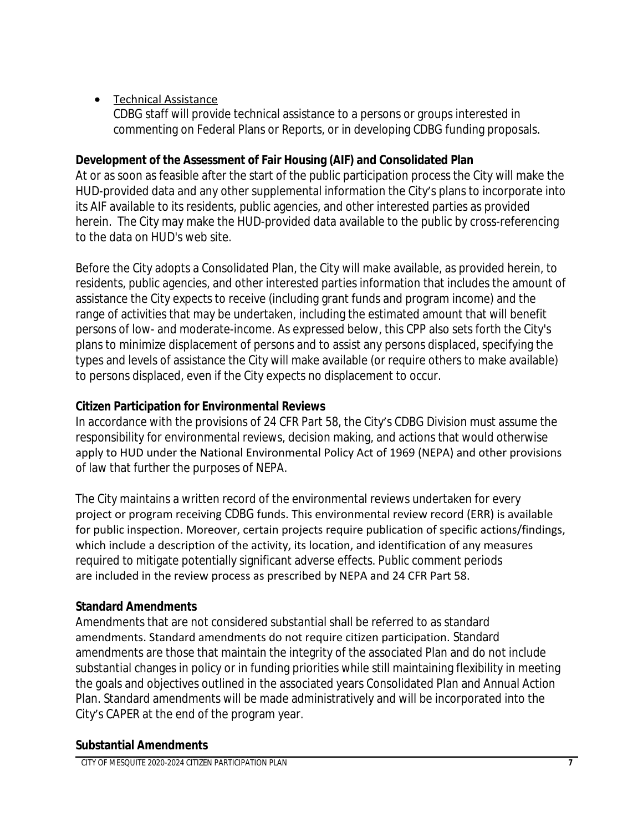#### Technical Assistance

CDBG staff will provide technical assistance to a persons or groups interested in commenting on Federal Plans or Reports, or in developing CDBG funding proposals.

#### **Development of the Assessment of Fair Housing (AIF) and Consolidated Plan**

At or as soon as feasible after the start of the public participation process the City will make the HUD-provided data and any other supplemental information the City's plans to incorporate into its AIF available to its residents, public agencies, and other interested parties as provided herein. The City may make the HUD-provided data available to the public by cross-referencing to the data on HUD's web site.

Before the City adopts a Consolidated Plan, the City will make available, as provided herein, to residents, public agencies, and other interested parties information that includes the amount of assistance the City expects to receive (including grant funds and program income) and the range of activities that may be undertaken, including the estimated amount that will benefit persons of low- and moderate-income. As expressed below, this CPP also sets forth the City's plans to minimize displacement of persons and to assist any persons displaced, specifying the types and levels of assistance the City will make available (or require others to make available) to persons displaced, even if the City expects no displacement to occur.

#### **Citizen Participation for Environmental Reviews**

In accordance with the provisions of 24 CFR Part 58, the City's CDBG Division must assume the responsibility for environmental reviews, decision making, and actions that would otherwise apply to HUD under the National Environmental Policy Act of 1969 (NEPA) and other provisions of law that further the purposes of NEPA.

The City maintains a written record of the environmental reviews undertaken for every project or program receiving CDBG funds. This environmental review record (ERR) is available for public inspection. Moreover, certain projects require publication of specific actions/findings, which include a description of the activity, its location, and identification of any measures required to mitigate potentially significant adverse effects. Public comment periods are included in the review process as prescribed by NEPA and 24 CFR Part 58.

## **Standard Amendments**

Amendments that are not considered substantial shall be referred to as standard amendments. Standard amendments do not require citizen participation. Standard amendments are those that maintain the integrity of the associated Plan and do not include substantial changes in policy or in funding priorities while still maintaining flexibility in meeting the goals and objectives outlined in the associated years Consolidated Plan and Annual Action Plan. Standard amendments will be made administratively and will be incorporated into the City's CAPER at the end of the program year.

#### **Substantial Amendments**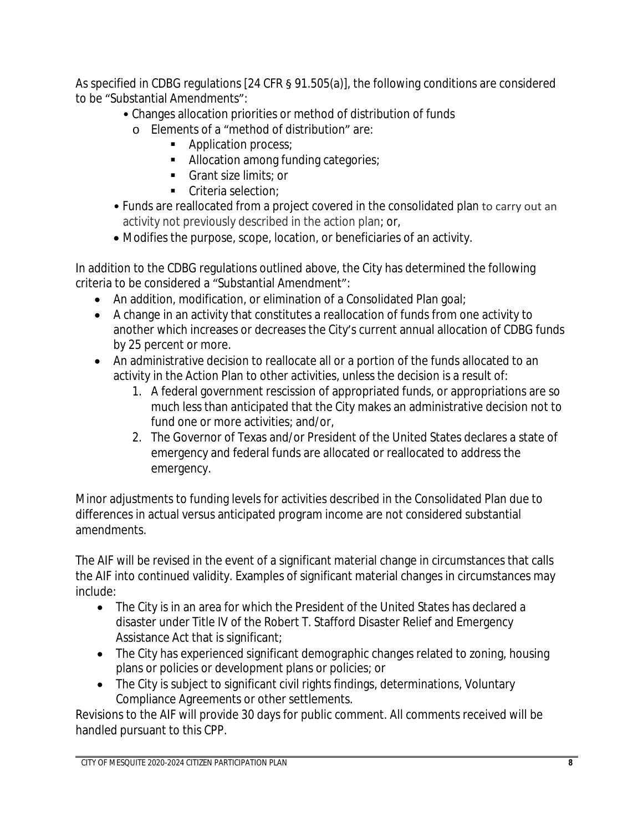As specified in CDBG regulations [24 CFR § 91.505(a)], the following conditions are considered to be "Substantial Amendments":

- Changes allocation priorities or method of distribution of funds
	- o Elements of a "method of distribution" are:
		- Application process;
		- **Allocation among funding categories;**
		- Grant size limits; or
		- Criteria selection:
- Funds are reallocated from a project covered in the consolidated plan to carry out an activity not previously described in the action plan; or,
- Modifies the purpose, scope, location, or beneficiaries of an activity.

In addition to the CDBG regulations outlined above, the City has determined the following criteria to be considered a "Substantial Amendment":

- An addition, modification, or elimination of a Consolidated Plan goal;
- A change in an activity that constitutes a reallocation of funds from one activity to another which increases or decreases the City's current annual allocation of CDBG funds by 25 percent or more.
- An administrative decision to reallocate all or a portion of the funds allocated to an activity in the Action Plan to other activities, unless the decision is a result of:
	- 1. A federal government rescission of appropriated funds, or appropriations are so much less than anticipated that the City makes an administrative decision not to fund one or more activities; and/or,
	- 2. The Governor of Texas and/or President of the United States declares a state of emergency and federal funds are allocated or reallocated to address the emergency.

Minor adjustments to funding levels for activities described in the Consolidated Plan due to differences in actual versus anticipated program income are not considered substantial amendments.

The AIF will be revised in the event of a significant material change in circumstances that calls the AIF into continued validity. Examples of significant material changes in circumstances may include:

- The City is in an area for which the President of the United States has declared a disaster under Title IV of the Robert T. Stafford Disaster Relief and Emergency Assistance Act that is significant;
- The City has experienced significant demographic changes related to zoning, housing plans or policies or development plans or policies; or
- The City is subject to significant civil rights findings, determinations, Voluntary Compliance Agreements or other settlements.

Revisions to the AIF will provide 30 days for public comment. All comments received will be handled pursuant to this CPP.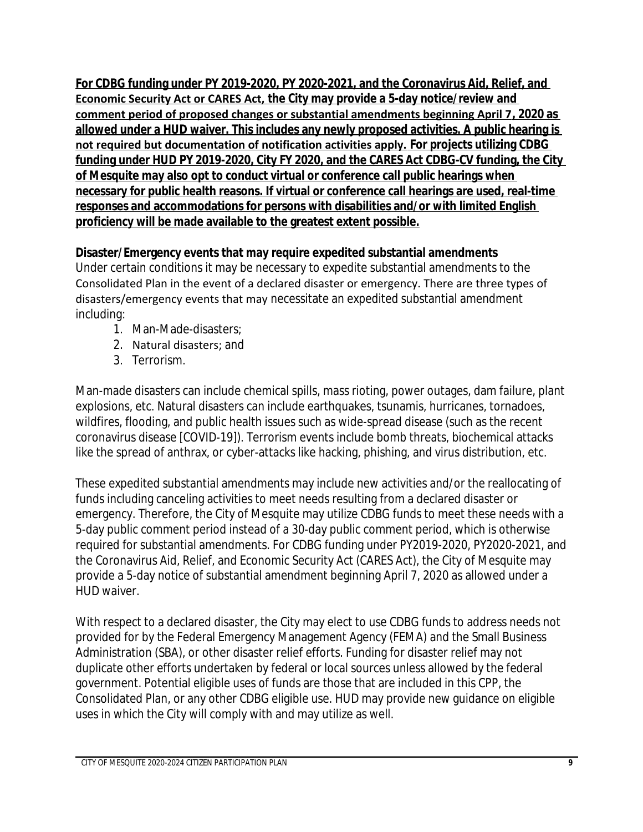**For CDBG funding under PY 2019-2020, PY 2020-2021, and the Coronavirus Aid, Relief, and Economic Security Act or CARES Act, the City may provide a 5-day notice/review and comment period of proposed changes or substantial amendments beginning April 7, 2020 as allowed under a HUD waiver. This includes any newly proposed activities. A public hearing is not required but documentation of notification activities apply. For projects utilizing CDBG funding under HUD PY 2019-2020, City FY 2020, and the CARES Act CDBG-CV funding, the City of Mesquite may also opt to conduct virtual or conference call public hearings when necessary for public health reasons. If virtual or conference call hearings are used, real-time responses and accommodations for persons with disabilities and/or with limited English proficiency will be made available to the greatest extent possible.**

## **Disaster/Emergency events that may require expedited substantial amendments**

Under certain conditions it may be necessary to expedite substantial amendments to the Consolidated Plan in the event of a declared disaster or emergency. There are three types of disasters/emergency events that may necessitate an expedited substantial amendment including:

- 1. Man-Made-disasters;
- 2. Natural disasters; and
- 3. Terrorism.

Man-made disasters can include chemical spills, mass rioting, power outages, dam failure, plant explosions, etc. Natural disasters can include earthquakes, tsunamis, hurricanes, tornadoes, wildfires, flooding, and public health issues such as wide-spread disease (such as the recent coronavirus disease [COVID-19]). Terrorism events include bomb threats, biochemical attacks like the spread of anthrax, or cyber-attacks like hacking, phishing, and virus distribution, etc.

These expedited substantial amendments may include new activities and/or the reallocating of funds including canceling activities to meet needs resulting from a declared disaster or emergency. Therefore, the City of Mesquite may utilize CDBG funds to meet these needs with a 5-day public comment period instead of a 30-day public comment period, which is otherwise required for substantial amendments. For CDBG funding under PY2019-2020, PY2020-2021, and the Coronavirus Aid, Relief, and Economic Security Act (CARES Act), the City of Mesquite may provide a 5-day notice of substantial amendment beginning April 7, 2020 as allowed under a HUD waiver.

With respect to a declared disaster, the City may elect to use CDBG funds to address needs not provided for by the Federal Emergency Management Agency (FEMA) and the Small Business Administration (SBA), or other disaster relief efforts. Funding for disaster relief may not duplicate other efforts undertaken by federal or local sources unless allowed by the federal government. Potential eligible uses of funds are those that are included in this CPP, the Consolidated Plan, or any other CDBG eligible use. HUD may provide new guidance on eligible uses in which the City will comply with and may utilize as well.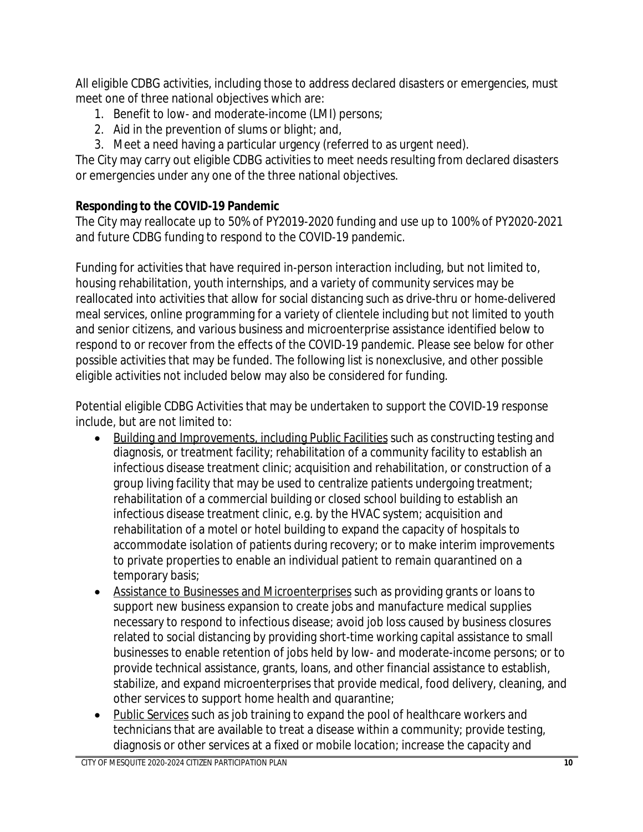All eligible CDBG activities, including those to address declared disasters or emergencies, must meet one of three national objectives which are:

- 1. Benefit to low- and moderate-income (LMI) persons;
- 2. Aid in the prevention of slums or blight; and,
- 3. Meet a need having a particular urgency (referred to as urgent need).

The City may carry out eligible CDBG activities to meet needs resulting from declared disasters or emergencies under any one of the three national objectives.

# **Responding to the COVID-19 Pandemic**

The City may reallocate up to 50% of PY2019-2020 funding and use up to 100% of PY2020-2021 and future CDBG funding to respond to the COVID-19 pandemic.

Funding for activities that have required in-person interaction including, but not limited to, housing rehabilitation, youth internships, and a variety of community services may be reallocated into activities that allow for social distancing such as drive-thru or home-delivered meal services, online programming for a variety of clientele including but not limited to youth and senior citizens, and various business and microenterprise assistance identified below to respond to or recover from the effects of the COVID-19 pandemic. Please see below for other possible activities that may be funded. The following list is nonexclusive, and other possible eligible activities not included below may also be considered for funding.

Potential eligible CDBG Activities that may be undertaken to support the COVID-19 response include, but are not limited to:

- Building and Improvements, including Public Facilities such as constructing testing and diagnosis, or treatment facility; rehabilitation of a community facility to establish an infectious disease treatment clinic; acquisition and rehabilitation, or construction of a group living facility that may be used to centralize patients undergoing treatment; rehabilitation of a commercial building or closed school building to establish an infectious disease treatment clinic, e.g. by the HVAC system; acquisition and rehabilitation of a motel or hotel building to expand the capacity of hospitals to accommodate isolation of patients during recovery; or to make interim improvements to private properties to enable an individual patient to remain quarantined on a temporary basis;
- Assistance to Businesses and Microenterprises such as providing grants or loans to support new business expansion to create jobs and manufacture medical supplies necessary to respond to infectious disease; avoid job loss caused by business closures related to social distancing by providing short-time working capital assistance to small businesses to enable retention of jobs held by low- and moderate-income persons; or to provide technical assistance, grants, loans, and other financial assistance to establish, stabilize, and expand microenterprises that provide medical, food delivery, cleaning, and other services to support home health and quarantine;
- Public Services such as job training to expand the pool of healthcare workers and technicians that are available to treat a disease within a community; provide testing, diagnosis or other services at a fixed or mobile location; increase the capacity and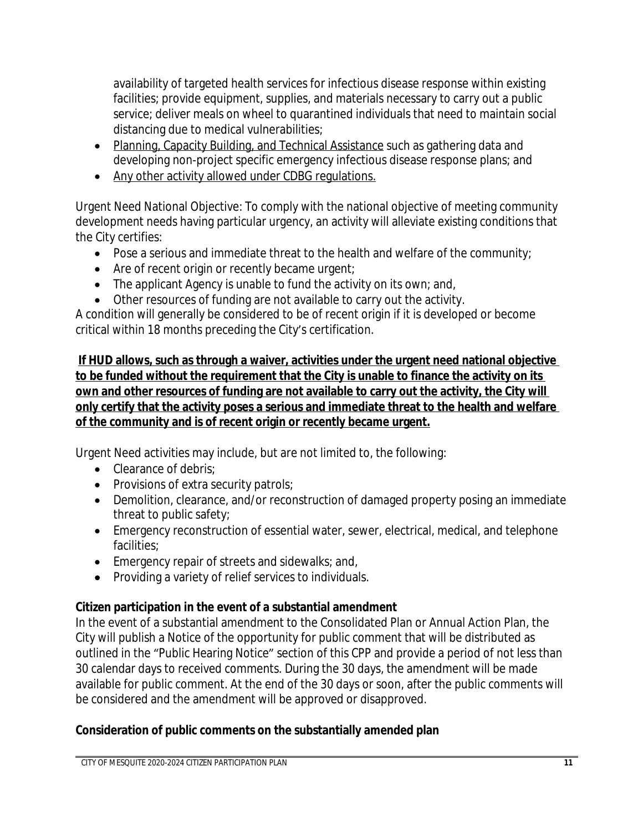availability of targeted health services for infectious disease response within existing facilities; provide equipment, supplies, and materials necessary to carry out a public service; deliver meals on wheel to quarantined individuals that need to maintain social distancing due to medical vulnerabilities;

- Planning, Capacity Building, and Technical Assistance such as gathering data and developing non-project specific emergency infectious disease response plans; and
- Any other activity allowed under CDBG regulations.

Urgent Need National Objective: To comply with the national objective of meeting community development needs having particular urgency, an activity will alleviate existing conditions that the City certifies:

- Pose a serious and immediate threat to the health and welfare of the community;
- Are of recent origin or recently became urgent;
- The applicant Agency is unable to fund the activity on its own; and,
- Other resources of funding are not available to carry out the activity.

A condition will generally be considered to be of recent origin if it is developed or become critical within 18 months preceding the City's certification.

**If HUD allows, such as through a waiver, activities under the urgent need national objective to be funded without the requirement that the City is unable to finance the activity on its own and other resources of funding are not available to carry out the activity, the City will only certify that the activity poses a serious and immediate threat to the health and welfare of the community and is of recent origin or recently became urgent.**

Urgent Need activities may include, but are not limited to, the following:

- Clearance of debris:
- Provisions of extra security patrols;
- Demolition, clearance, and/or reconstruction of damaged property posing an immediate threat to public safety;
- Emergency reconstruction of essential water, sewer, electrical, medical, and telephone facilities;
- **Emergency repair of streets and sidewalks; and,**
- Providing a variety of relief services to individuals.

## **Citizen participation in the event of a substantial amendment**

In the event of a substantial amendment to the Consolidated Plan or Annual Action Plan, the City will publish a Notice of the opportunity for public comment that will be distributed as outlined in the "Public Hearing Notice" section of this CPP and provide a period of not less than 30 calendar days to received comments. During the 30 days, the amendment will be made available for public comment. At the end of the 30 days or soon, after the public comments will be considered and the amendment will be approved or disapproved.

## **Consideration of public comments on the substantially amended plan**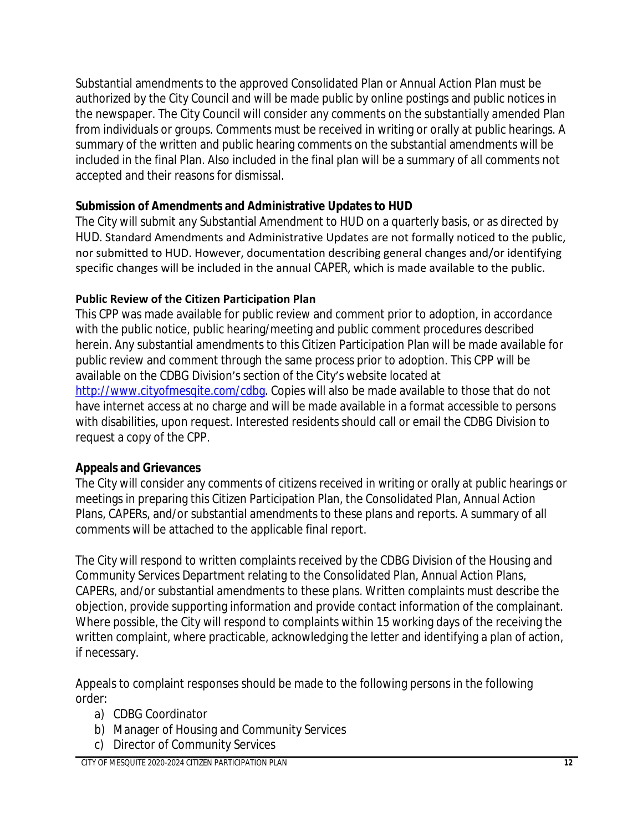Substantial amendments to the approved Consolidated Plan or Annual Action Plan must be authorized by the City Council and will be made public by online postings and public notices in the newspaper. The City Council will consider any comments on the substantially amended Plan from individuals or groups. Comments must be received in writing or orally at public hearings. A summary of the written and public hearing comments on the substantial amendments will be included in the final Plan. Also included in the final plan will be a summary of all comments not accepted and their reasons for dismissal.

## **Submission of Amendments and Administrative Updates to HUD**

The City will submit any Substantial Amendment to HUD on a quarterly basis, or as directed by HUD. Standard Amendments and Administrative Updates are not formally noticed to the public, nor submitted to HUD. However, documentation describing general changes and/or identifying specific changes will be included in the annual CAPER, which is made available to the public.

## **Public Review of the Citizen Participation Plan**

This CPP was made available for public review and comment prior to adoption, in accordance with the public notice, public hearing/meeting and public comment procedures described herein. Any substantial amendments to this Citizen Participation Plan will be made available for public review and comment through the same process prior to adoption. This CPP will be available on the CDBG Division's section of the City's website located at http://www.cityofmesgite.com/cdbg. Copies will also be made available to those that do not have internet access at no charge and will be made available in a format accessible to persons with disabilities, upon request. Interested residents should call or email the CDBG Division to request a copy of the CPP.

## **Appeals and Grievances**

The City will consider any comments of citizens received in writing or orally at public hearings or meetings in preparing this Citizen Participation Plan, the Consolidated Plan, Annual Action Plans, CAPERs, and/or substantial amendments to these plans and reports. A summary of all comments will be attached to the applicable final report.

The City will respond to written complaints received by the CDBG Division of the Housing and Community Services Department relating to the Consolidated Plan, Annual Action Plans, CAPERs, and/or substantial amendments to these plans. Written complaints must describe the objection, provide supporting information and provide contact information of the complainant. Where possible, the City will respond to complaints within 15 working days of the receiving the written complaint, where practicable, acknowledging the letter and identifying a plan of action, if necessary.

Appeals to complaint responses should be made to the following persons in the following order:

- a) CDBG Coordinator
- b) Manager of Housing and Community Services
- c) Director of Community Services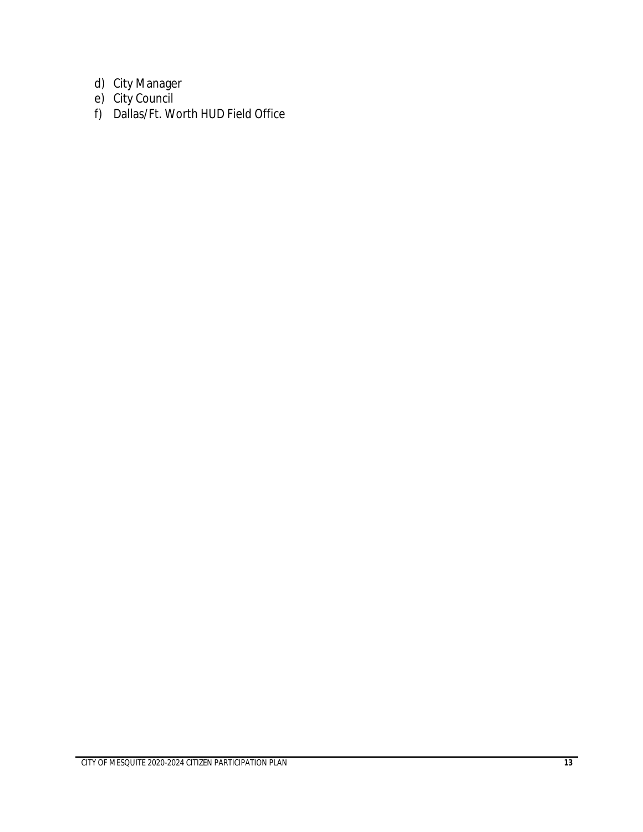- d) City Manager
- e) City Council
- f) Dallas/Ft. Worth HUD Field Office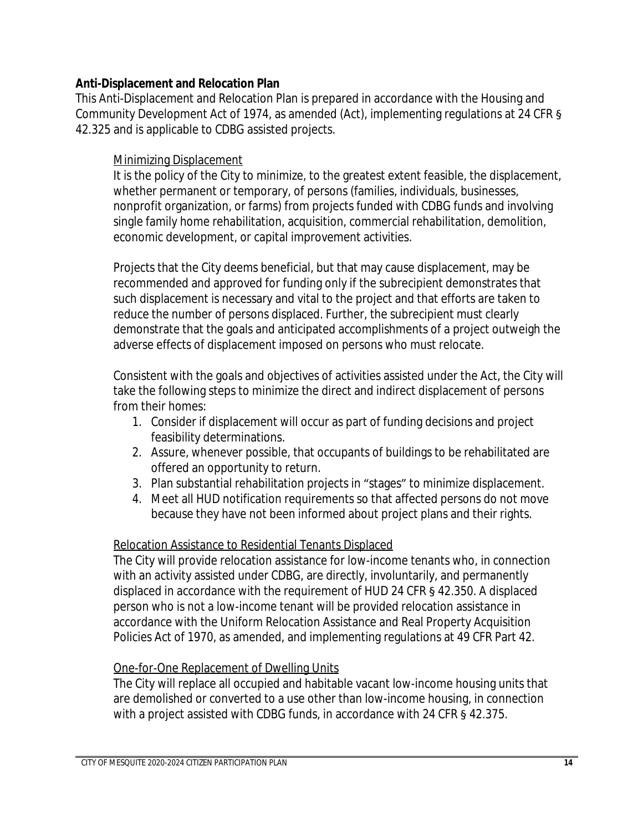#### **Anti-Displacement and Relocation Plan**

This Anti-Displacement and Relocation Plan is prepared in accordance with the Housing and Community Development Act of 1974, as amended (Act), implementing regulations at 24 CFR § 42.325 and is applicable to CDBG assisted projects.

#### Minimizing Displacement

It is the policy of the City to minimize, to the greatest extent feasible, the displacement, whether permanent or temporary, of persons (families, individuals, businesses, nonprofit organization, or farms) from projects funded with CDBG funds and involving single family home rehabilitation, acquisition, commercial rehabilitation, demolition, economic development, or capital improvement activities.

Projects that the City deems beneficial, but that may cause displacement, may be recommended and approved for funding only if the subrecipient demonstrates that such displacement is necessary and vital to the project and that efforts are taken to reduce the number of persons displaced. Further, the subrecipient must clearly demonstrate that the goals and anticipated accomplishments of a project outweigh the adverse effects of displacement imposed on persons who must relocate.

Consistent with the goals and objectives of activities assisted under the Act, the City will take the following steps to minimize the direct and indirect displacement of persons from their homes:

- 1. Consider if displacement will occur as part of funding decisions and project feasibility determinations.
- 2. Assure, whenever possible, that occupants of buildings to be rehabilitated are offered an opportunity to return.
- 3. Plan substantial rehabilitation projects in "stages" to minimize displacement.
- 4. Meet all HUD notification requirements so that affected persons do not move because they have not been informed about project plans and their rights.

#### Relocation Assistance to Residential Tenants Displaced

The City will provide relocation assistance for low-income tenants who, in connection with an activity assisted under CDBG, are directly, involuntarily, and permanently displaced in accordance with the requirement of HUD 24 CFR § 42.350. A displaced person who is not a low-income tenant will be provided relocation assistance in accordance with the Uniform Relocation Assistance and Real Property Acquisition Policies Act of 1970, as amended, and implementing regulations at 49 CFR Part 42.

#### One-for-One Replacement of Dwelling Units

The City will replace all occupied and habitable vacant low-income housing units that are demolished or converted to a use other than low-income housing, in connection with a project assisted with CDBG funds, in accordance with 24 CFR § 42.375.